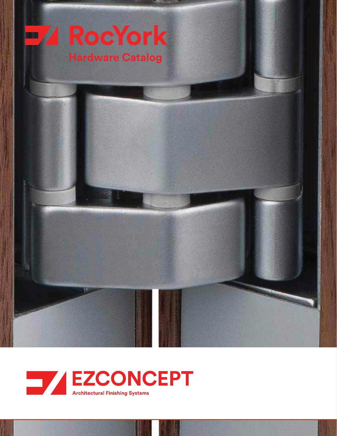



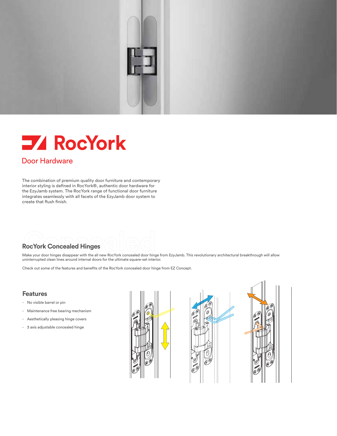

# **ZA RocYork**

#### Door Hardware

The combination of premium quality door furniture and contemporary interior styling is defined in RocYork®, authentic door hardware for the EzyJamb system. The RocYork range of functional door furniture integrates seamlessly with all facets of the EzyJamb door system to create that flush finish.

**RocYork Concealed Hinges**<br>
Make your door hinges disappear with the all new RocYork concealed door hinge from EzyJamb. This revolutionary architectural breakthrough will allow uninterrupted clean lines around internal doors for the ultimate square-set interior.

Check out some of the features and benefits of the RocYork concealed door hinge from EZ Concept.

#### **Features**

- No visible barrel or pin
- Maintenance free bearing mechanism
- Aesthetically pleasing hinge covers
- 3 axis adjustable concealed hinge





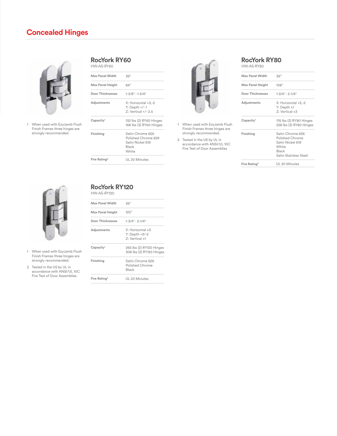

|                                                                | <b>Max Panel Width</b>   | 36"                                                                 |                                                                                                           | <b>Max Panel Width</b>   | 36"                                                                            |
|----------------------------------------------------------------|--------------------------|---------------------------------------------------------------------|-----------------------------------------------------------------------------------------------------------|--------------------------|--------------------------------------------------------------------------------|
|                                                                | Max Panel Height         | 84"                                                                 |                                                                                                           | Max Panel Height         | 108"                                                                           |
|                                                                | Door Thicknesses         | $1 - 3/8" - 1 - 3/4"$                                               |                                                                                                           | <b>Door Thicknesses</b>  | $1 - 3/4" - 2 - 1/4"$                                                          |
|                                                                | Adjustments              | X: Horizontal +3,-2<br>$Y:$ Depth $+/-1$<br>$Z:$ Vertical $+/- 2.5$ |                                                                                                           | Adjustments              | X: Horizontal +3,-2<br>$Y:$ Depth $±1$<br>$Z:$ Vertical $\pm 3$                |
| When used with EzyJamb Flush<br>Finish Frames three hinges are | Capacity <sup>1</sup>    | 132 lbs (2) RY60 Hinges<br>168 lbs (3) RY60 Hinges                  | When used with EzyJamb Flush<br>Finish Frames three hinges are                                            | Capacity <sup>1</sup>    | 176 lbs (2) RY80 Hinges<br>228 lbs (3) RY80 Hinges                             |
| strongly recommended.                                          | Finishing                | Satin Chrome 626                                                    | strongly recommended.                                                                                     | Finishing                | Satin Chrome 626                                                               |
|                                                                |                          | Polished Chrome 629<br>Satin Nickel 619<br>Black<br>White           | Tested in the US by UL in<br>$\overline{2}$<br>accordance with ANSI/UL10C<br>Fire Test of Door Assemblies |                          | Polished Chrome<br>Satin Nickel 619<br>White<br>Black<br>Satin Stainless Steel |
|                                                                | Fire Rating <sup>2</sup> | UL 20 Minutes                                                       |                                                                                                           | Fire Rating <sup>2</sup> | III 20 Minutes                                                                 |
|                                                                |                          |                                                                     |                                                                                                           |                          |                                                                                |



- Finish Frames three hinges are
- 2 Tested in the US by UL in accordance with ANSI/UL 10C Fire Test of Door Assemblies

| 36"                                                                           |                                                                                                                    | <b>Max Panel Width</b>   | 36"                                                                                                |
|-------------------------------------------------------------------------------|--------------------------------------------------------------------------------------------------------------------|--------------------------|----------------------------------------------------------------------------------------------------|
| 84"                                                                           |                                                                                                                    | Max Panel Height         | 108"                                                                                               |
| $1 - 3/8" - 1 - 3/4"$                                                         |                                                                                                                    | Door Thicknesses         | $1 - 3/4" - 2 - 1/4"$                                                                              |
| X: Horizontal +3,-2<br>Y: Depth $+/-1$<br>Z: Vertical +/- 2.5                 |                                                                                                                    | Adjustments              | X: Horizontal +3,-2<br>$Y:$ Depth $±1$<br>$Z:$ Vertical $\pm 3$                                    |
| 132 lbs (2) RY60 Hinges<br>168 lbs (3) RY60 Hinges                            | When used with EzyJamb Flush<br>Finish Frames three hinges are                                                     | Capacity <sup>1</sup>    | 176 lbs (2) RY80 Hinges<br>228 lbs (3) RY80 Hinges                                                 |
| Satin Chrome 626<br>Polished Chrome 629<br>Satin Nickel 619<br>Black<br>White | strongly recommended.<br>2 Tested in the US by UL in<br>accordance with ANSI/UL10C<br>Fire Test of Door Assemblies | Finishing                | Satin Chrome 626<br>Polished Chrome<br>Satin Nickel 619<br>White<br>Black<br>Satin Stainless Steel |
| UL 20 Minutes                                                                 |                                                                                                                    | Fire Rating <sup>2</sup> | UL 20 Minutes                                                                                      |



- When used with EzyJamb Flush 1 Finish Frames three hinges are strongly recommended.
- Tested in the US by UL in 2 accordance with ANSI/UL 10C Fire Test of Door Assemblies

# **RocYork RY120**

|  | HW-AS-RY120 |  |  |  |
|--|-------------|--|--|--|
|  |             |  |  |  |

| <b>Max Panel Width</b>   | 36"                                                             |
|--------------------------|-----------------------------------------------------------------|
| Max Panel Height         | 120"                                                            |
| Door Thicknesses         | $1 - 3/4" - 2 - 1/4"$                                           |
| Adjustments              | $X:$ Horizontal $\pm 3$<br>$Y:$ Depth $+3/-2$<br>7: Vertical ±1 |
| Capacity <sup>1</sup>    | 265 lbs (2) RY120 Hinges<br>308 lbs (3) RY120 Hinges            |
| Finishing                | Satin Chrome 626<br>Polished Chrome<br>Black                    |
| Fire Rating <sup>2</sup> | UL 20 Minutes                                                   |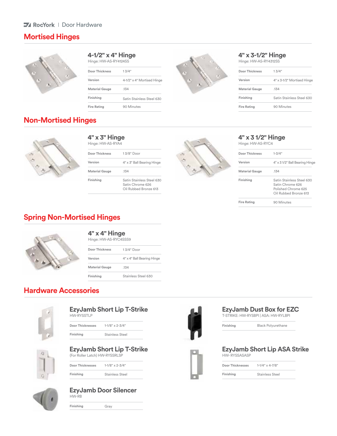# **Mortised Hinges**



| Hinge: HVV-AS-RY4124SS |                            |    | Hinge: HVV-AS         |
|------------------------|----------------------------|----|-----------------------|
| Door Thickness         | 13/4"                      |    | <b>Door Thickness</b> |
| Version                | 4-1/2" x 4" Mortised Hinge | x. | Version               |
| <b>Material Gauge</b>  | .134                       |    | <b>Material Gauge</b> |
| Finishing              | Satin Stainless Steel 630  |    | Finishing             |
| <b>Fire Rating</b>     | 90 Minutes                 |    | <b>Fire Rating</b>    |
|                        |                            |    |                       |



Hinge: HW-AS-RY4312SS

| 13/4"                      |   | Door Thickness        | 13/4"                      |
|----------------------------|---|-----------------------|----------------------------|
| 4-1/2" x 4" Mortised Hinge | x | Version               | 4" x 3-1/2" Mortised Hinge |
| .134                       |   | <b>Material Gauge</b> | .134                       |
| Satin Stainless Steel 630  |   | Finishing             | Satin Stainless Steel 630  |
| 90 Minutes                 |   | <b>Fire Rating</b>    | 90 Minutes                 |
|                            |   |                       |                            |

# **Non-Mortised Hinges**



#### **4" x 3" Hinge** Hinge: HW-AS-RYA4

| THING ITTY AT INTER   |                                                                        | 1.111190.1 |
|-----------------------|------------------------------------------------------------------------|------------|
| <b>Door Thickness</b> | 13/8" Door                                                             | Door Thie  |
| Version               | 4" x 3" Ball Bearing Hinge                                             | Version    |
| <b>Material Gauge</b> | .134                                                                   | Material   |
| Finishing             | Satin Stainless Steel 630<br>Satin Chrome 626<br>Oil Rubbed Bronze 613 | Finishing  |



#### **4" x 3 1/2" Hinge**

Hinge: HW-AS-RYC4

| 13/8" Door                                                             | Door Thickness        | $1 - 3/4"$                                                                                    |
|------------------------------------------------------------------------|-----------------------|-----------------------------------------------------------------------------------------------|
| 4" x 3" Ball Bearing Hinge                                             | Version               | 4" x 3 1/2" Ball Bearing Hinge                                                                |
| .134                                                                   | <b>Material Gauge</b> | .134                                                                                          |
| Satin Stainless Steel 630<br>Satin Chrome 626<br>Oil Rubbed Bronze 613 | Finishing             | Satin Stainless Steel 630<br>Satin Chrome 626<br>Polished Chrome 625<br>Oil Rubbed Bronze 613 |
|                                                                        | <b>Fire Rating</b>    | 90 Minutes                                                                                    |
|                                                                        |                       |                                                                                               |

## **Spring Non-Mortised Hinges**



#### **4" x 4" Hinge**

Hinge: HW-AS-RYC4SSS9

| Door Thickness        | $1.3/4"$ Door              |
|-----------------------|----------------------------|
| Version               | 4" x 4" Ball Bearing Hinge |
| <b>Material Gauge</b> | .134                       |
| Finishing             | Stainless Steel 630        |

# **Hardware Accessories**



#### **EzyJamb Short Lip T-Strike** HW-RYSSTLP

| .                |                        |
|------------------|------------------------|
| Door Thicknesses | 1-1/8" x 2-3/4"        |
| Finishing        | <b>Stainless Steel</b> |

#### **EzyJamb Short Lip T-Strike** (For Roller Latch) HW-RYSSRLSP

**Door Thicknesses Finishing Finishing** Stainless Steel Stainless Steel 1-1/8" x 2-3/4"



#### **EzyJamb Door Silencer** HW-RB

**Finishing** Gray



### **EzyJamb Dust Box for EZC** T-STRIKE: HW-RYSBPI | ASA: HW-RYLBPI

Black Polyurethane

#### **EzyJamb Short Lip ASA Strike** HW- RYSSASASP

| Door Thicknesses | 1-1/4" x 4-7/8" |
|------------------|-----------------|
| Finishing        | Stainless Steel |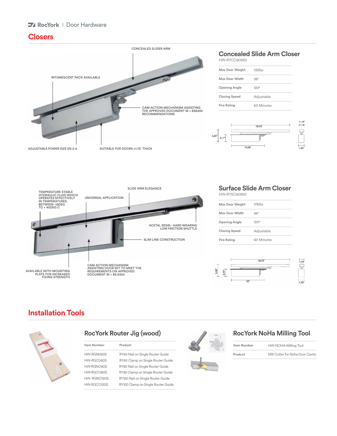#### **Z** RocYork | Door Hardware

### **Closers**



#### **Concealed Slide Arm Closer** HW-RYCC60950

| <b>Max Door Weight</b> | $132$ lbs   |
|------------------------|-------------|
| <b>Max Door Width</b>  | 38"         |
| <b>Opening Angle</b>   | $120^\circ$ |
| <b>Closing Speed</b>   | Adjustable  |
| <b>Fire Rating</b>     | 60 Minutes  |





### **Surface Slide Arm Closer**

HW-RYSC60950

| Max Door Weight      | $176$ lbs   |
|----------------------|-------------|
| Max Door Width       | 44"         |
| <b>Opening Angle</b> | $120^\circ$ |
| <b>Closing Speed</b> | Adjustable  |
| <b>Fire Rating</b>   | 60 Minutes  |



# **Installation Tools**



| Item Number | Product                            |  | Item Number |
|-------------|------------------------------------|--|-------------|
| HW-RGN060S  | RY60 Nail on Single Router Guide   |  | Product     |
| HW-RGC060S  | RY60 Clamp on Single Router Guide  |  |             |
| HW-RGNO80S  | RY80 Nail on Single Router Guide   |  |             |
| HW-RGCO80S  | RY80 Clamp on Single Router Guide  |  |             |
| HW-RGNO120S | RY120 Nail on Single Router Guide  |  |             |
| HW-RGCO120S | RY120 Clamp on Single Router Guide |  |             |



### RocYork Router Jig (wood) RocYork NoHa Milling Tool

| Product                          | <b><i>D'Aug</i></b> | Item Number | HW-NOHA-Milling Tool             |
|----------------------------------|---------------------|-------------|----------------------------------|
| RY60 Nail on Single Router Guide |                     | Product     | Mill Cutter for Noha Door Cavity |
| ------<br>$-$<br>.               |                     |             |                                  |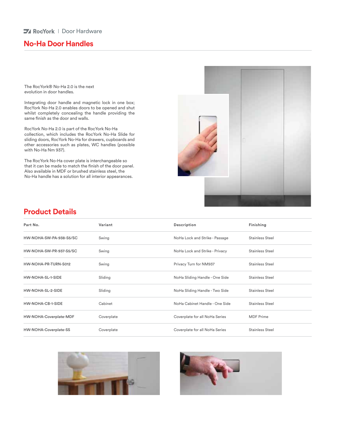#### **74 RocYork** | Door Hardware

## **No-Ha Door Handles**

The RocYork® No-Ha 2.0 is the next evolution in door handles.

Integrating door handle and magnetic lock in one box; RocYork No-Ha 2.0 enables doors to be opened and shut whilst completely concealing the handle providing the same finish as the door and walls.

RocYork No-Ha 2.0 is part of the RocYork No-Ha collection, which includes the RocYork No-Ha Slide for sliding doors, RocYork No-Ha for drawers, cupboards and other accessories such as plates, WC handles (possible with No-Ha Nm 937).

The RocYork No-Ha cover plate is interchangeable so that it can be made to match the finish of the door panel. Also available in MDF or brushed stainless steel, the No-Ha handle has a solution for all interior appearances.



### **Product Details**

| Part No.                | Variant    | Description                    | Finishing              |
|-------------------------|------------|--------------------------------|------------------------|
| HW-NOHA-SW-PA-938-S5/SC | Swing      | NoHa Lock and Strike - Passage | <b>Stainless Steel</b> |
| HW-NOHA-SW-PR-937-S5/SC | Swing      | NoHa Lock and Strike - Privacy | <b>Stainless Steel</b> |
| HW-NOHA-PR-TURN-S012    | Swing      | Privacy Turn for NM937         | <b>Stainless Steel</b> |
| HW-NOHA-SL-1-SIDE       | Sliding    | NoHa Sliding Handle - One Side | <b>Stainless Steel</b> |
| HW-NOHA-SL-2-SIDE       | Sliding    | NoHa Sliding Handle - Two Side | <b>Stainless Steel</b> |
| HW-NOHA-CB-1-SIDE       | Cabinet    | NoHa Cabinet Handle - One Side | Stainless Steel        |
| HW-NOHA-Coverplate-MDF  | Coverplate | Coverplate for all NoHa Series | <b>MDF</b> Prime       |
| HW-NOHA-Coverplate-SS   | Coverplate | Coverplate for all NoHa Series | <b>Stainless Steel</b> |



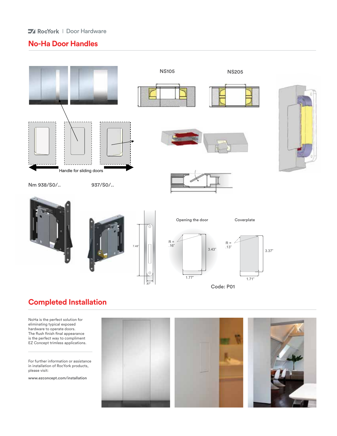#### **74 RocYork** | Door Hardware

# **No-Ha Door Handles**



# **Completed Installation**

NoHa is the perfect solution for eliminating typical exposed hardware to operate doors. The flush finish final appearance is the perfect way to compliment EZ Concept trimless applications.

For further information or assistance in installation of RocYork products, please visit:

www.ezconcept.com/installation

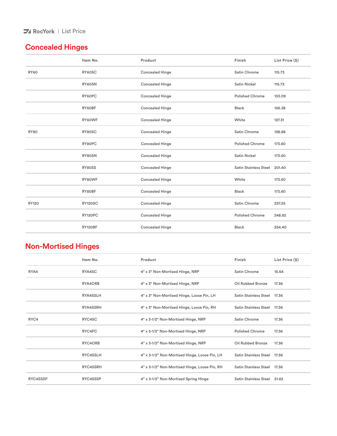### **I** RocYork | List Price

# **Concealed Hinges**

|              | Item No.       | Product                | Finish                 | List Price (\$) |
|--------------|----------------|------------------------|------------------------|-----------------|
| <b>RY60</b>  | RY60SC         | <b>Concealed Hinge</b> | Satin Chrome           | 115.73          |
|              | RY60SN         | <b>Concealed Hinge</b> | <b>Satin Nickel</b>    | 115.73          |
|              | RY60PC         | <b>Concealed Hinge</b> | <b>Polished Chrome</b> | 133.09          |
|              | RY60BF         | <b>Concealed Hinge</b> | <b>Black</b>           | 126.38          |
|              | RY60WF         | <b>Concealed Hinge</b> | White                  | 127.31          |
| <b>RY80</b>  | RY80SC         | <b>Concealed Hinge</b> | <b>Satin Chrome</b>    | 138.88          |
|              | RY80PC         | <b>Concealed Hinge</b> | <b>Polished Chrome</b> | 173.60          |
|              | RY80SN         | <b>Concealed Hinge</b> | <b>Satin Nickel</b>    | 173.60          |
|              | RY80SS         | <b>Concealed Hinge</b> | Satin Stainless Steel  | 201.40          |
|              | RY80WF         | <b>Concealed Hinge</b> | White                  | 173.60          |
|              | RY80BF         | <b>Concealed Hinge</b> | <b>Black</b>           | 173.60          |
| <b>RY120</b> | <b>RY120SC</b> | <b>Concealed Hinge</b> | <b>Satin Chrome</b>    | 237.25          |
|              | RY120PC        | <b>Concealed Hinge</b> | <b>Polished Chrome</b> | 248.82          |
|              | <b>RY120BF</b> | <b>Concealed Hinge</b> | <b>Black</b>           | 254.40          |

# **Non-Mortised Hinges**

|          | Item No.        | Product                                       | Finish                       | List Price (\$) |
|----------|-----------------|-----------------------------------------------|------------------------------|-----------------|
| RYA4     | RYA4SC          | 4" x 3" Non-Mortised Hinge, NRP               | Satin Chrome                 | 15.64           |
|          | RYA4ORB         | 4" x 3" Non-Mortised Hinge, NRP               | Oil Rubbed Bronze            | 17.36           |
|          | RYA4SSLH        | 4" x 3" Non-Mortised Hinge, Loose Pin, LH     | <b>Satin Stainless Steel</b> | 17.36           |
|          | <b>RYA4SSRH</b> | 4" x 3" Non-Mortised Hinge, Loose Pin, RH     | <b>Satin Stainless Steel</b> | 17.36           |
| RYC4     | RYC4SC          | 4" x 3-1/2" Non-Mortised Hinge, NRP           | <b>Satin Chrome</b>          | 17.36           |
|          | RYC4PC          | 4" x 3-1/2" Non-Mortised Hinge, NRP           | <b>Polished Chrome</b>       | 17.36           |
|          | RYC4ORB         | 4" x 3-1/2" Non-Mortised Hinge, NRP           | Oil Rubbed Bronze            | 17.36           |
|          | RYC4SSLH        | 4" x 3-1/2" Non-Mortised Hinge, Loose Pin, LH | <b>Satin Stainless Steel</b> | 17.36           |
|          | RYC4SSRH        | 4" x 3-1/2" Non-Mortised Hinge, Loose Pin, RH | Satin Stainless Steel 17.36  |                 |
| RYC4SSSP | RYC4SSSP        | 4" x 3-1/2" Non-Mortised Spring Hinge         | <b>Satin Stainless Steel</b> | 21.62           |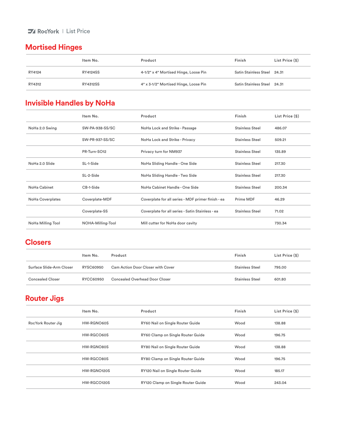### **IV** RocYork | List Price

# **Mortised Hinges**

|        | Item No.        | Product                               | Finish                      | List Price (\$) |
|--------|-----------------|---------------------------------------|-----------------------------|-----------------|
| RY4124 | <b>RY4124SS</b> | 4-1/2" x 4" Mortised Hinge, Loose Pin | Satin Stainless Steel 24.31 |                 |
| RY4312 | <b>RY4312SS</b> | 4" x 3-1/2" Mortised Hinge, Loose Pin | Satin Stainless Steel 24.31 |                 |

# **Invisible Handles by NoHa**

|                     | Item No.          | Product                                            | Finish                 | List Price (\$) |
|---------------------|-------------------|----------------------------------------------------|------------------------|-----------------|
| NoHa 2.0 Swing      | SW-PA-938-SS/SC   | NoHa Lock and Strike - Passage                     | <b>Stainless Steel</b> | 486.07          |
|                     | SW-PR-937-SS/SC   | NoHa Lock and Strike - Privacy                     | <b>Stainless Steel</b> | 509.21          |
|                     | PR-Turn-SO12      | Privacy turn for NM937                             | <b>Stainless Steel</b> | 135.89          |
| NoHa 2.0 Slide      | SL-1-Side         | NoHa Sliding Handle - One Side                     | <b>Stainless Steel</b> | 217.30          |
|                     | SL-2-Side         | NoHa Sliding Handle - Two Side                     | <b>Stainless Steel</b> | 217.30          |
| <b>NoHa Cabinet</b> | CB-1-Side         | NoHa Cabinet Handle - One Side                     | <b>Stainless Steel</b> | 200.34          |
| NoHa Coverplates    | Coverplate-MDF    | Coverplate for all series - MDF primer finish - ea | Prime MDF              | 46.29           |
|                     | Coverplate-SS     | Coverplate for all series - Satin Stainless - ea   | <b>Stainless Steel</b> | 71.02           |
| NoHa Milling Tool   | NOHA-Milling-Tool | Mill cutter for NoHa door cavity                   |                        | 730.34          |

# **Closers**

|                          | Item No.  | Product                                  | Finish                 | List Price (\$) |
|--------------------------|-----------|------------------------------------------|------------------------|-----------------|
| Surface Slide-Arm Closer | RYSC60950 | <b>Cam Action Door Closer with Cover</b> | <b>Stainless Steel</b> | 795.00          |
| <b>Concealed Closer</b>  | RYCC60950 | Concealed Overhead Door Closer           | <b>Stainless Steel</b> | 601.80          |

# **Router Jigs**

|                    | Item No.    | Product                            | Finish | List Price (\$) |
|--------------------|-------------|------------------------------------|--------|-----------------|
| RocYork Router Jig | HW-RGNO60S  | RY60 Nail on Single Router Guide   | Wood   | 138.88          |
|                    | HW-RGCO60S  | RY60 Clamp on Single Router Guide  | Wood   | 196.75          |
|                    | HW-RGNO80S  | RY80 Nail on Single Router Guide   | Wood   | 138.88          |
|                    | HW-RGCO80S  | RY80 Clamp on Single Router Guide  | Wood   | 196.75          |
|                    | HW-RGNO120S | RY120 Nail on Single Router Guide  | Wood   | 185.17          |
|                    | HW-RGCO120S | RY120 Clamp on Single Router Guide | Wood   | 243.04          |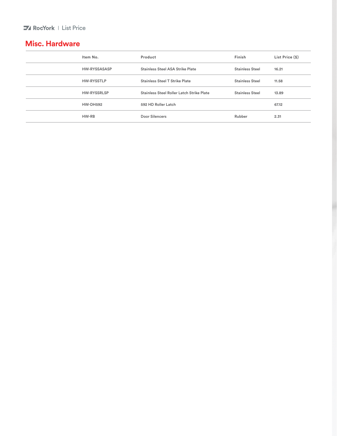# **Misc. Hardware**

| Item No.            | Product                                   | Finish                 | List Price (\$) |
|---------------------|-------------------------------------------|------------------------|-----------------|
| <b>HW-RYSSASASP</b> | <b>Stainless Steel ASA Strike Plate</b>   | <b>Stainless Steel</b> | 16.21           |
| <b>HW-RYSSTLP</b>   | Stainless Steel T Strike Plate            | <b>Stainless Steel</b> | 11.58           |
| <b>HW-RYSSRLSP</b>  | Stainless Steel Roller Latch Strike Plate | <b>Stainless Steel</b> | 13.89           |
| <b>HW-DH592</b>     | 592 HD Roller Latch                       |                        | 67.12           |
| HW-RB               | Door Silencers                            | Rubber                 | 2.31            |